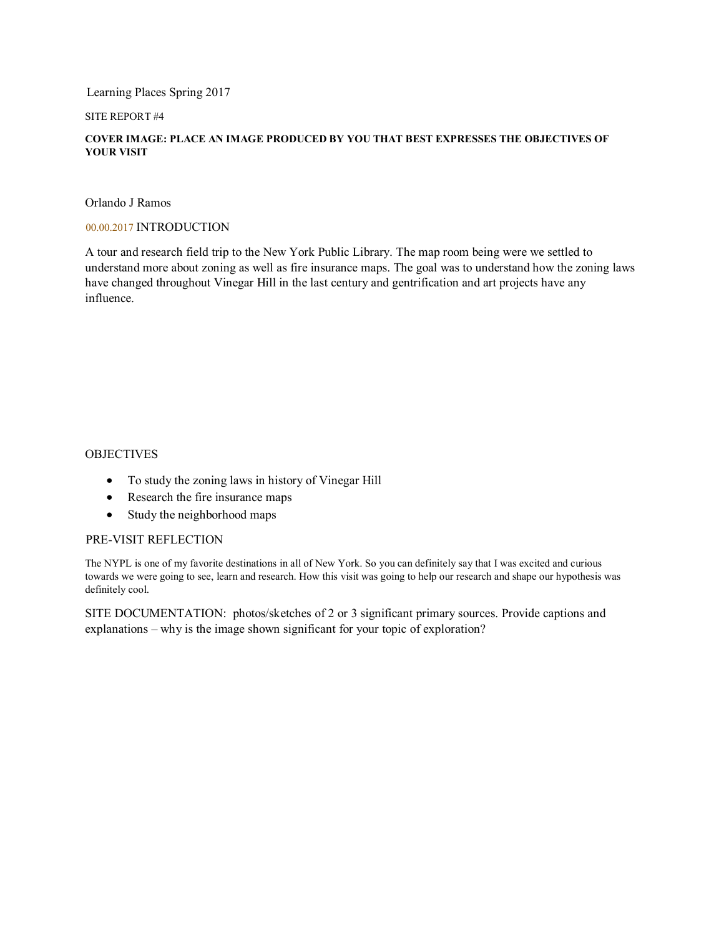Learning Places Spring 2017

SITE REPORT #4

## COVER IMAGE: PLACE AN IMAGE PRODUCED BY YOU THAT BEST EXPRESSES THE OBJECTIVES OF YOUR VISIT

Orlando J Ramos

### 00.00.2017 INTRODUCTION

A tour and research field trip to the New York Public Library. The map room being were we settled to understand more about zoning as well as fire insurance maps. The goal was to understand how the zoning laws have changed throughout Vinegar Hill in the last century and gentrification and art projects have any influence.

## **OBJECTIVES**

- To study the zoning laws in history of Vinegar Hill
- Research the fire insurance maps
- Study the neighborhood maps

### PRE-VISIT REFLECTION

The NYPL is one of my favorite destinations in all of New York. So you can definitely say that I was excited and curious towards we were going to see, learn and research. How this visit was going to help our research and shape our hypothesis was definitely cool.

SITE DOCUMENTATION: photos/sketches of 2 or 3 significant primary sources. Provide captions and explanations – why is the image shown significant for your topic of exploration?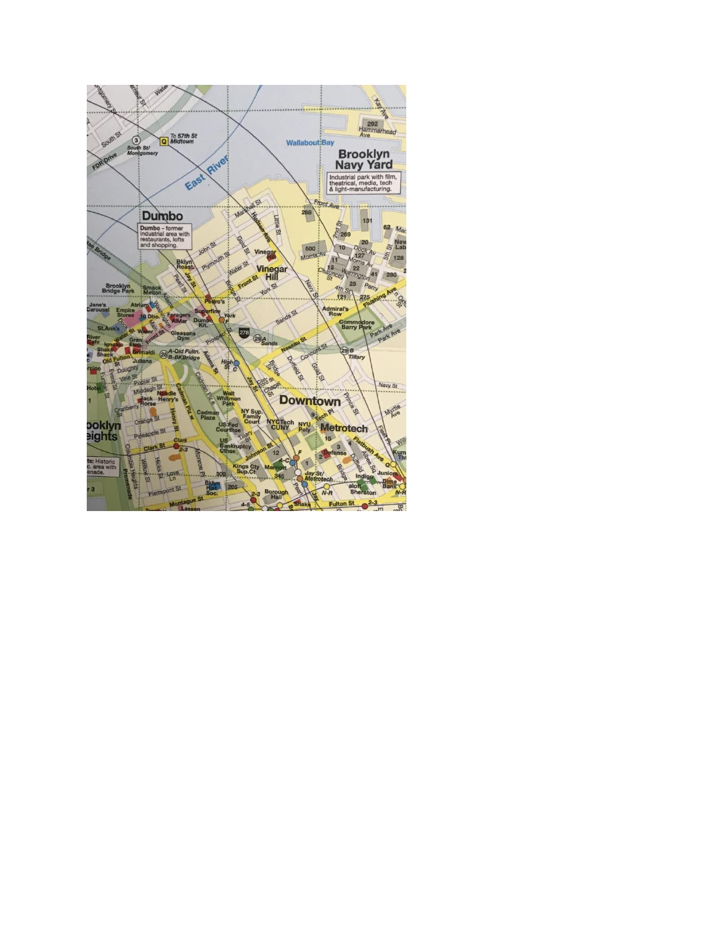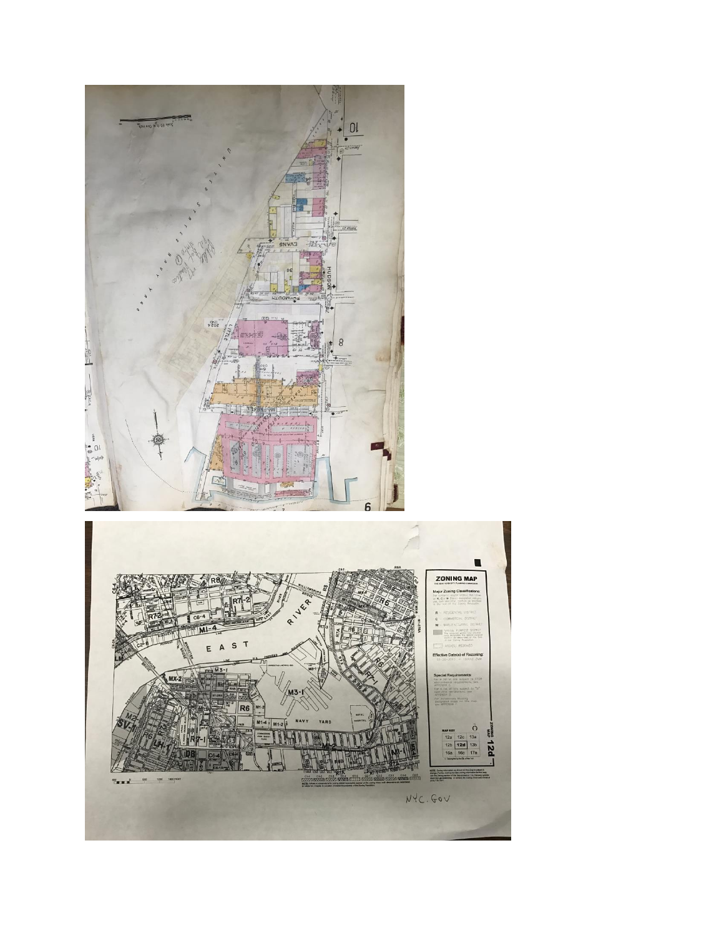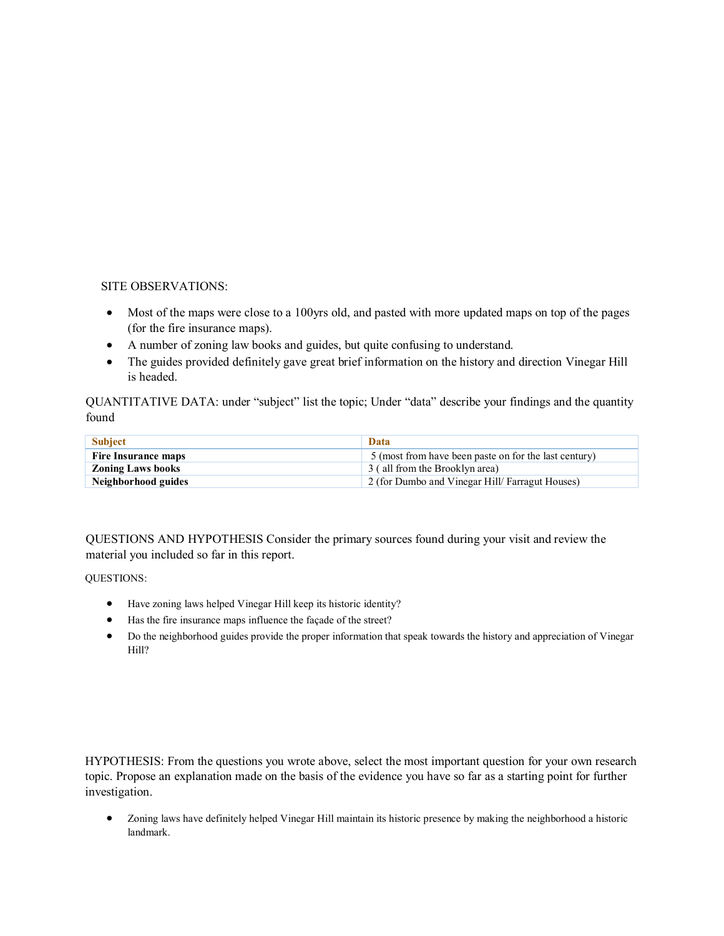# SITE OBSERVATIONS:

- Most of the maps were close to a 100 yrs old, and pasted with more updated maps on top of the pages (for the fire insurance maps).
- A number of zoning law books and guides, but quite confusing to understand.
- The guides provided definitely gave great brief information on the history and direction Vinegar Hill is headed.

QUANTITATIVE DATA: under "subject" list the topic; Under "data" describe your findings and the quantity found

| Subject                  | Data                                                  |
|--------------------------|-------------------------------------------------------|
| Fire Insurance maps      | 5 (most from have been paste on for the last century) |
| <b>Zoning Laws books</b> | 3 (all from the Brooklyn area)                        |
| Neighborhood guides      | 2 (for Dumbo and Vinegar Hill/Farragut Houses)        |

QUESTIONS AND HYPOTHESIS Consider the primary sources found during your visit and review the material you included so far in this report.

QUESTIONS:

- Have zoning laws helped Vinegar Hill keep its historic identity?
- Has the fire insurance maps influence the façade of the street?
- Do the neighborhood guides provide the proper information that speak towards the history and appreciation of Vinegar Hill?

HYPOTHESIS: From the questions you wrote above, select the most important question for your own research topic. Propose an explanation made on the basis of the evidence you have so far as a starting point for further investigation.

• Zoning laws have definitely helped Vinegar Hill maintain its historic presence by making the neighborhood a historic landmark.